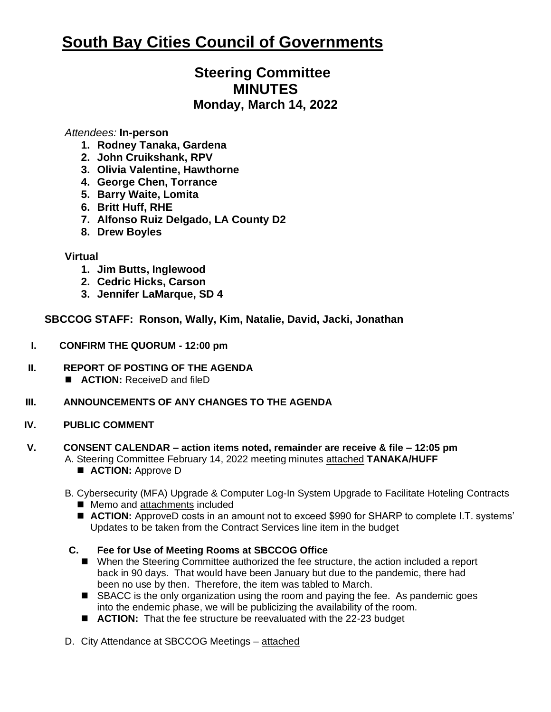# **South Bay Cities Council of Governments**

# **Steering Committee MINUTES Monday, March 14, 2022**

#### *Attendees:* **In-person**

- **1. Rodney Tanaka, Gardena**
- **2. John Cruikshank, RPV**
- **3. Olivia Valentine, Hawthorne**
- **4. George Chen, Torrance**
- **5. Barry Waite, Lomita**
- **6. Britt Huff, RHE**
- **7. Alfonso Ruiz Delgado, LA County D2**
- **8. Drew Boyles**

#### **Virtual**

- **1. Jim Butts, Inglewood**
- **2. Cedric Hicks, Carson**
- **3. Jennifer LaMarque, SD 4**

### **SBCCOG STAFF: Ronson, Wally, Kim, Natalie, David, Jacki, Jonathan**

- **I. CONFIRM THE QUORUM - 12:00 pm**
- **II. REPORT OF POSTING OF THE AGENDA**  ■ **ACTION:** ReceiveD and fileD
- **III. ANNOUNCEMENTS OF ANY CHANGES TO THE AGENDA**

#### **IV. PUBLIC COMMENT**

## **V. CONSENT CALENDAR – action items noted, remainder are receive & file – 12:05 pm**

- A. Steering Committee February 14, 2022 meeting minutes attached **TANAKA/HUFF** ■ **ACTION:** Approve D
- B. Cybersecurity (MFA) Upgrade & Computer Log-In System Upgrade to Facilitate Hoteling Contracts
	- Memo and attachments included
	- **ACTION:** ApproveD costs in an amount not to exceed \$990 for SHARP to complete I.T. systems' Updates to be taken from the Contract Services line item in the budget

#### **C. Fee for Use of Meeting Rooms at SBCCOG Office**

- When the Steering Committee authorized the fee structure, the action included a report back in 90 days. That would have been January but due to the pandemic, there had been no use by then. Therefore, the item was tabled to March.
- SBACC is the only organization using the room and paying the fee. As pandemic goes into the endemic phase, we will be publicizing the availability of the room.
- **ACTION:** That the fee structure be reevaluated with the 22-23 budget
- D. City Attendance at SBCCOG Meetings attached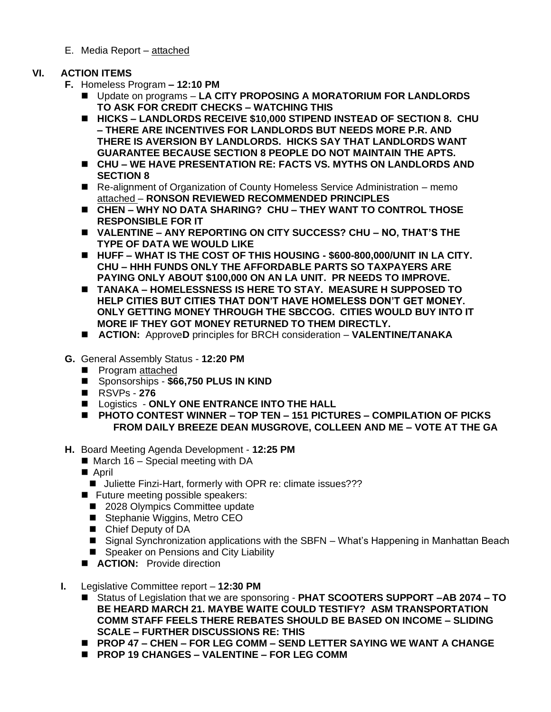E. Media Report – attached

#### **VI. ACTION ITEMS**

- **F.** Homeless Program **– 12:10 PM**
	- Update on programs **LA CITY PROPOSING A MORATORIUM FOR LANDLORDS TO ASK FOR CREDIT CHECKS – WATCHING THIS**
	- HICKS LANDLORDS RECEIVE \$10,000 STIPEND INSTEAD OF SECTION 8. CHU **– THERE ARE INCENTIVES FOR LANDLORDS BUT NEEDS MORE P.R. AND THERE IS AVERSION BY LANDLORDS. HICKS SAY THAT LANDLORDS WANT GUARANTEE BECAUSE SECTION 8 PEOPLE DO NOT MAINTAIN THE APTS.**
	- ◼ **CHU – WE HAVE PRESENTATION RE: FACTS VS. MYTHS ON LANDLORDS AND SECTION 8**
	- Re-alignment of Organization of County Homeless Service Administration memo attached – **RONSON REVIEWED RECOMMENDED PRINCIPLES**
	- ◼ **CHEN – WHY NO DATA SHARING? CHU – THEY WANT TO CONTROL THOSE RESPONSIBLE FOR IT**
	- ◼ **VALENTINE – ANY REPORTING ON CITY SUCCESS? CHU – NO, THAT'S THE TYPE OF DATA WE WOULD LIKE**
	- ◼ **HUFF – WHAT IS THE COST OF THIS HOUSING - \$600-800,000/UNIT IN LA CITY. CHU – HHH FUNDS ONLY THE AFFORDABLE PARTS SO TAXPAYERS ARE PAYING ONLY ABOUT \$100,000 ON AN LA UNIT. PR NEEDS TO IMPROVE.**
	- ◼ **TANAKA – HOMELESSNESS IS HERE TO STAY. MEASURE H SUPPOSED TO HELP CITIES BUT CITIES THAT DON'T HAVE HOMELESS DON'T GET MONEY. ONLY GETTING MONEY THROUGH THE SBCCOG. CITIES WOULD BUY INTO IT MORE IF THEY GOT MONEY RETURNED TO THEM DIRECTLY.**
	- ◼ **ACTION:** Approve**D** principles for BRCH consideration **VALENTINE/TANAKA**
- **G.** General Assembly Status **12:20 PM** 
	- Program attached
	- Sponsorships \$66,750 PLUS IN KIND
	- RSVPs 276
	- Logistics ONLY ONE ENTRANCE INTO THE HALL
	- ◼ **PHOTO CONTEST WINNER – TOP TEN – 151 PICTURES – COMPILATION OF PICKS FROM DAILY BREEZE DEAN MUSGROVE, COLLEEN AND ME – VOTE AT THE GA**
- **H.** Board Meeting Agenda Development **12:25 PM** 
	- $\blacksquare$  March 16 Special meeting with DA
	- April
		- Juliette Finzi-Hart, formerly with OPR re: climate issues???
	- Future meeting possible speakers:
		- 2028 Olympics Committee update
		- Stephanie Wiggins, Metro CEO
		- Chief Deputy of DA
		- Signal Synchronization applications with the SBFN What's Happening in Manhattan Beach
		- Speaker on Pensions and City Liability
	- **ACTION:** Provide direction
- **I.** Legislative Committee report **12:30 PM**
	- ◼ Status of Legislation that we are sponsoring **PHAT SCOOTERS SUPPORT –AB 2074 – TO BE HEARD MARCH 21. MAYBE WAITE COULD TESTIFY? ASM TRANSPORTATION COMM STAFF FEELS THERE REBATES SHOULD BE BASED ON INCOME – SLIDING SCALE – FURTHER DISCUSSIONS RE: THIS**
	- ◼ **PROP 47 – CHEN – FOR LEG COMM – SEND LETTER SAYING WE WANT A CHANGE**
	- ◼ **PROP 19 CHANGES – VALENTINE – FOR LEG COMM**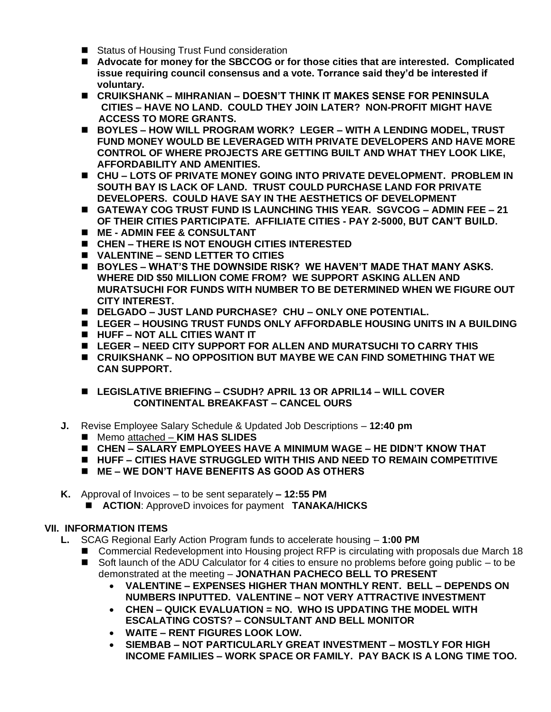- Status of Housing Trust Fund consideration
- Advocate for money for the SBCCOG or for those cities that are interested. Complicated **issue requiring council consensus and a vote. Torrance said they'd be interested if voluntary.**
- ◼ **CRUIKSHANK – MIHRANIAN – DOESN'T THINK IT MAKES SENSE FOR PENINSULA CITIES – HAVE NO LAND. COULD THEY JOIN LATER? NON-PROFIT MIGHT HAVE ACCESS TO MORE GRANTS.**
- ◼ **BOYLES – HOW WILL PROGRAM WORK? LEGER – WITH A LENDING MODEL, TRUST FUND MONEY WOULD BE LEVERAGED WITH PRIVATE DEVELOPERS AND HAVE MORE CONTROL OF WHERE PROJECTS ARE GETTING BUILT AND WHAT THEY LOOK LIKE, AFFORDABILITY AND AMENITIES.**
- ◼ **CHU – LOTS OF PRIVATE MONEY GOING INTO PRIVATE DEVELOPMENT. PROBLEM IN SOUTH BAY IS LACK OF LAND. TRUST COULD PURCHASE LAND FOR PRIVATE DEVELOPERS. COULD HAVE SAY IN THE AESTHETICS OF DEVELOPMENT**
- ◼ **GATEWAY COG TRUST FUND IS LAUNCHING THIS YEAR. SGVCOG – ADMIN FEE – 21 OF THEIR CITIES PARTICIPATE. AFFILIATE CITIES - PAY 2-5000, BUT CAN'T BUILD.**
- ◼ **ME - ADMIN FEE & CONSULTANT**
- ◼ **CHEN – THERE IS NOT ENOUGH CITIES INTERESTED**
- ◼ **VALENTINE – SEND LETTER TO CITIES**
- ◼ **BOYLES – WHAT'S THE DOWNSIDE RISK? WE HAVEN'T MADE THAT MANY ASKS. WHERE DID \$50 MILLION COME FROM? WE SUPPORT ASKING ALLEN AND MURATSUCHI FOR FUNDS WITH NUMBER TO BE DETERMINED WHEN WE FIGURE OUT CITY INTEREST.**
- ◼ **DELGADO – JUST LAND PURCHASE? CHU – ONLY ONE POTENTIAL.**
- ◼ **LEGER – HOUSING TRUST FUNDS ONLY AFFORDABLE HOUSING UNITS IN A BUILDING**
- ◼ **HUFF – NOT ALL CITIES WANT IT**
- ◼ **LEGER – NEED CITY SUPPORT FOR ALLEN AND MURATSUCHI TO CARRY THIS**
- ◼ **CRUIKSHANK – NO OPPOSITION BUT MAYBE WE CAN FIND SOMETHING THAT WE CAN SUPPORT.**
- ◼ **LEGISLATIVE BRIEFING – CSUDH? APRIL 13 OR APRIL14 – WILL COVER CONTINENTAL BREAKFAST – CANCEL OURS**
- **J.** Revise Employee Salary Schedule & Updated Job Descriptions **12:40 pm**
	- Memo attached **KIM HAS SLIDES**
	- ◼ **CHEN – SALARY EMPLOYEES HAVE A MINIMUM WAGE – HE DIDN'T KNOW THAT**
	- HUFF CITIES HAVE STRUGGLED WITH THIS AND NEED TO REMAIN COMPETITIVE
	- ◼ **ME – WE DON'T HAVE BENEFITS AS GOOD AS OTHERS**
- **K.** Approval of Invoices to be sent separately **– 12:55 PM** 
	- **ACTION: ApproveD invoices for payment <b>TANAKA/HICKS**

#### **VII. INFORMATION ITEMS**

- **L.** SCAG Regional Early Action Program funds to accelerate housing **1:00 PM** 
	- Commercial Redevelopment into Housing project RFP is circulating with proposals due March 18 ■ Soft launch of the ADU Calculator for 4 cities to ensure no problems before going public – to be
		- demonstrated at the meeting **JONATHAN PACHECO BELL TO PRESENT**
			- **VALENTINE – EXPENSES HIGHER THAN MONTHLY RENT. BELL – DEPENDS ON NUMBERS INPUTTED. VALENTINE – NOT VERY ATTRACTIVE INVESTMENT**
			- **CHEN – QUICK EVALUATION = NO. WHO IS UPDATING THE MODEL WITH ESCALATING COSTS? – CONSULTANT AND BELL MONITOR**
			- **WAITE – RENT FIGURES LOOK LOW.**
			- **SIEMBAB – NOT PARTICULARLY GREAT INVESTMENT – MOSTLY FOR HIGH INCOME FAMILIES – WORK SPACE OR FAMILY. PAY BACK IS A LONG TIME TOO.**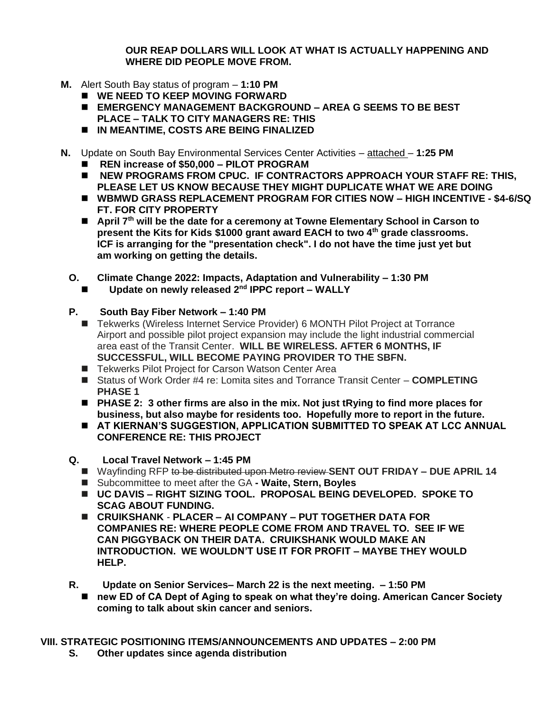**OUR REAP DOLLARS WILL LOOK AT WHAT IS ACTUALLY HAPPENING AND WHERE DID PEOPLE MOVE FROM.**

- **M.** Alert South Bay status of program **1:10 PM**
	- ◼ **WE NEED TO KEEP MOVING FORWARD**
	- ◼ **EMERGENCY MANAGEMENT BACKGROUND – AREA G SEEMS TO BE BEST PLACE – TALK TO CITY MANAGERS RE: THIS**
	- ◼ **IN MEANTIME, COSTS ARE BEING FINALIZED**
- **N.** Update on South Bay Environmental Services Center Activities attached **1:25 PM**
	- ◼ **REN increase of \$50,000 – PILOT PROGRAM**
	- NEW PROGRAMS FROM CPUC. IF CONTRACTORS APPROACH YOUR STAFF RE: THIS, **PLEASE LET US KNOW BECAUSE THEY MIGHT DUPLICATE WHAT WE ARE DOING**
	- ◼ **WBMWD GRASS REPLACEMENT PROGRAM FOR CITIES NOW – HIGH INCENTIVE - \$4-6/SQ FT. FOR CITY PROPERTY**
	- April 7<sup>th</sup> will be the date for a ceremony at Towne Elementary School in Carson to **present the Kits for Kids \$1000 grant award EACH to two 4th grade classrooms. ICF is arranging for the "presentation check". I do not have the time just yet but am working on getting the details.**
	- **O. Climate Change 2022: Impacts, Adaptation and Vulnerability – 1:30 PM**
		- ◼ **Update on newly released 2nd IPPC report – WALLY**
	- **P. South Bay Fiber Network – 1:40 PM** 
		- Tekwerks (Wireless Internet Service Provider) 6 MONTH Pilot Project at Torrance Airport and possible pilot project expansion may include the light industrial commercial area east of the Transit Center. **WILL BE WIRELESS. AFTER 6 MONTHS, IF SUCCESSFUL, WILL BECOME PAYING PROVIDER TO THE SBFN.**
		- Tekwerks Pilot Project for Carson Watson Center Area
		- Status of Work Order #4 re: Lomita sites and Torrance Transit Center **COMPLETING PHASE 1**
		- PHASE 2: 3 other firms are also in the mix. Not just tRying to find more places for **business, but also maybe for residents too. Hopefully more to report in the future.**
		- AT KIERNAN'S SUGGESTION, APPLICATION SUBMITTED TO SPEAK AT LCC ANNUAL **CONFERENCE RE: THIS PROJECT**
	- **Q. Local Travel Network – 1:45 PM** 
		- ◼ Wayfinding RFP to be distributed upon Metro review **SENT OUT FRIDAY – DUE APRIL 14**
		- Subcommittee to meet after the GA  **Waite, Stern, Boyles**
		- ◼ **UC DAVIS – RIGHT SIZING TOOL. PROPOSAL BEING DEVELOPED. SPOKE TO SCAG ABOUT FUNDING.**
		- ◼ **CRUIKSHANK PLACER – AI COMPANY – PUT TOGETHER DATA FOR COMPANIES RE: WHERE PEOPLE COME FROM AND TRAVEL TO. SEE IF WE CAN PIGGYBACK ON THEIR DATA. CRUIKSHANK WOULD MAKE AN INTRODUCTION. WE WOULDN'T USE IT FOR PROFIT – MAYBE THEY WOULD HELP.**
	- **R. Update on Senior Services– March 22 is the next meeting. – 1:50 PM**
		- new ED of CA Dept of Aging to speak on what they're doing. American Cancer Society **coming to talk about skin cancer and seniors.**

**VIII. STRATEGIC POSITIONING ITEMS/ANNOUNCEMENTS AND UPDATES – 2:00 PM** 

**S. Other updates since agenda distribution**